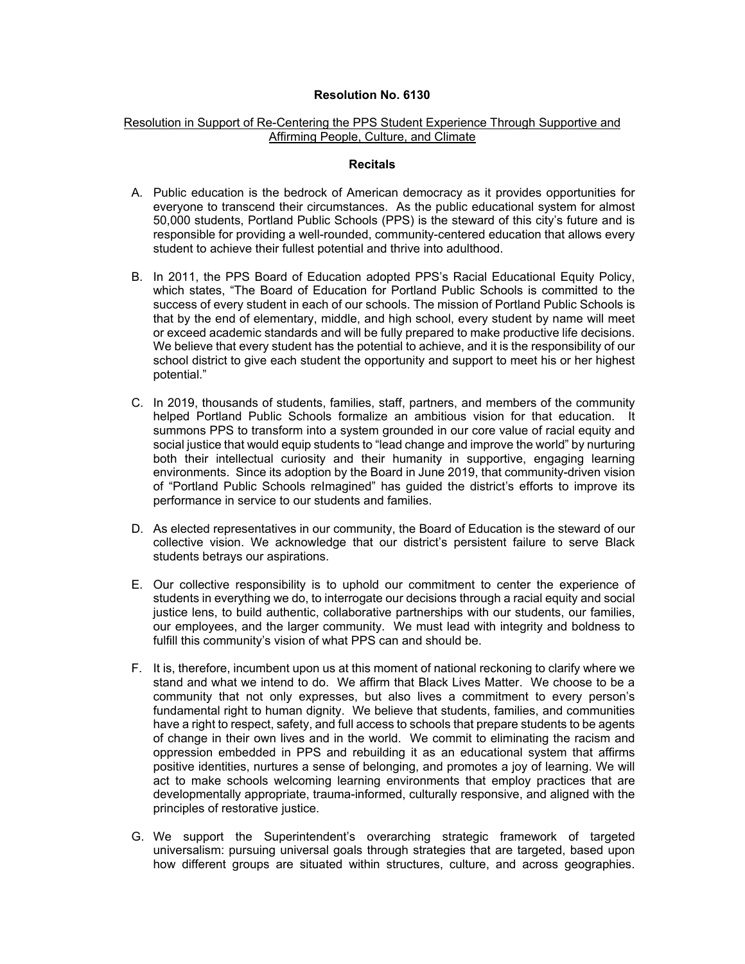## **Resolution No. 6130**

## Resolution in Support of Re-Centering the PPS Student Experience Through Supportive and Affirming People, Culture, and Climate

## **Recitals**

- A. Public education is the bedrock of American democracy as it provides opportunities for everyone to transcend their circumstances. As the public educational system for almost 50,000 students, Portland Public Schools (PPS) is the steward of this city's future and is responsible for providing a well-rounded, community-centered education that allows every student to achieve their fullest potential and thrive into adulthood.
- B. In 2011, the PPS Board of Education adopted PPS's Racial Educational Equity Policy, which states, "The Board of Education for Portland Public Schools is committed to the success of every student in each of our schools. The mission of Portland Public Schools is that by the end of elementary, middle, and high school, every student by name will meet or exceed academic standards and will be fully prepared to make productive life decisions. We believe that every student has the potential to achieve, and it is the responsibility of our school district to give each student the opportunity and support to meet his or her highest potential."
- C. In 2019, thousands of students, families, staff, partners, and members of the community helped Portland Public Schools formalize an ambitious vision for that education. It summons PPS to transform into a system grounded in our core value of racial equity and social justice that would equip students to "lead change and improve the world" by nurturing both their intellectual curiosity and their humanity in supportive, engaging learning environments. Since its adoption by the Board in June 2019, that community-driven vision of "Portland Public Schools reImagined" has guided the district's efforts to improve its performance in service to our students and families.
- D. As elected representatives in our community, the Board of Education is the steward of our collective vision. We acknowledge that our district's persistent failure to serve Black students betrays our aspirations.
- E. Our collective responsibility is to uphold our commitment to center the experience of students in everything we do, to interrogate our decisions through a racial equity and social justice lens, to build authentic, collaborative partnerships with our students, our families, our employees, and the larger community. We must lead with integrity and boldness to fulfill this community's vision of what PPS can and should be.
- F. It is, therefore, incumbent upon us at this moment of national reckoning to clarify where we stand and what we intend to do. We affirm that Black Lives Matter. We choose to be a community that not only expresses, but also lives a commitment to every person's fundamental right to human dignity. We believe that students, families, and communities have a right to respect, safety, and full access to schools that prepare students to be agents of change in their own lives and in the world. We commit to eliminating the racism and oppression embedded in PPS and rebuilding it as an educational system that affirms positive identities, nurtures a sense of belonging, and promotes a joy of learning. We will act to make schools welcoming learning environments that employ practices that are developmentally appropriate, trauma-informed, culturally responsive, and aligned with the principles of restorative justice.
- G. We support the Superintendent's overarching strategic framework of targeted universalism: pursuing universal goals through strategies that are targeted, based upon how different groups are situated within structures, culture, and across geographies.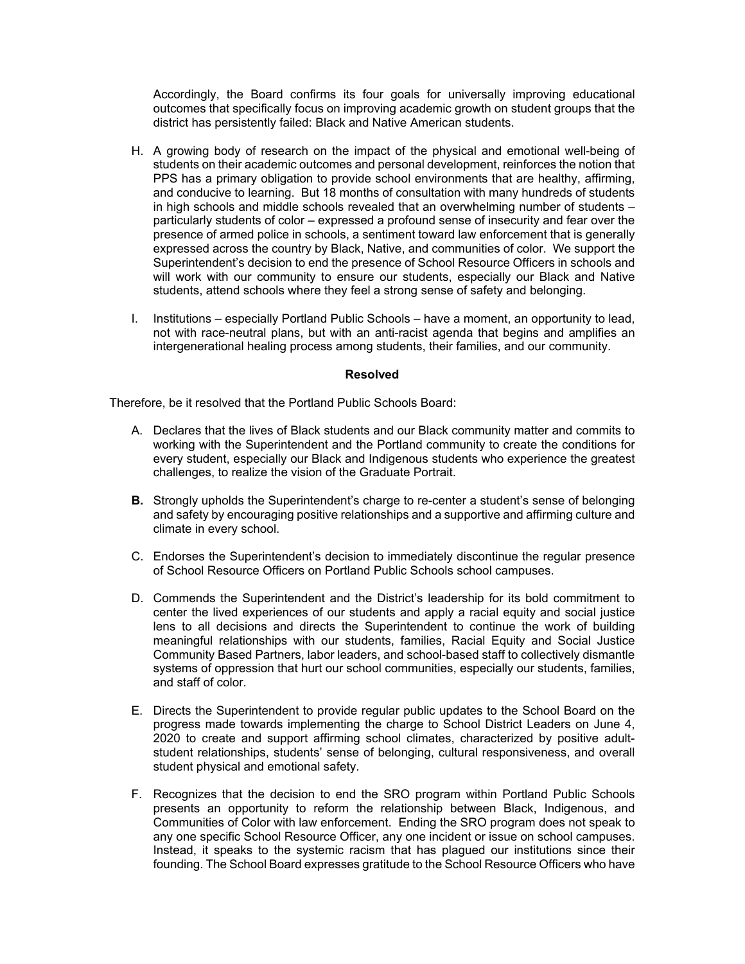Accordingly, the Board confirms its four goals for universally improving educational outcomes that specifically focus on improving academic growth on student groups that the district has persistently failed: Black and Native American students.

- H. A growing body of research on the impact of the physical and emotional well-being of students on their academic outcomes and personal development, reinforces the notion that PPS has a primary obligation to provide school environments that are healthy, affirming, and conducive to learning. But 18 months of consultation with many hundreds of students in high schools and middle schools revealed that an overwhelming number of students – particularly students of color – expressed a profound sense of insecurity and fear over the presence of armed police in schools, a sentiment toward law enforcement that is generally expressed across the country by Black, Native, and communities of color. We support the Superintendent's decision to end the presence of School Resource Officers in schools and will work with our community to ensure our students, especially our Black and Native students, attend schools where they feel a strong sense of safety and belonging.
- I. Institutions especially Portland Public Schools have a moment, an opportunity to lead, not with race-neutral plans, but with an anti-racist agenda that begins and amplifies an intergenerational healing process among students, their families, and our community.

## **Resolved**

Therefore, be it resolved that the Portland Public Schools Board:

- A. Declares that the lives of Black students and our Black community matter and commits to working with the Superintendent and the Portland community to create the conditions for every student, especially our Black and Indigenous students who experience the greatest challenges, to realize the vision of the Graduate Portrait.
- **B.** Strongly upholds the Superintendent's charge to re-center a student's sense of belonging and safety by encouraging positive relationships and a supportive and affirming culture and climate in every school.
- C. Endorses the Superintendent's decision to immediately discontinue the regular presence of School Resource Officers on Portland Public Schools school campuses.
- D. Commends the Superintendent and the District's leadership for its bold commitment to center the lived experiences of our students and apply a racial equity and social justice lens to all decisions and directs the Superintendent to continue the work of building meaningful relationships with our students, families, Racial Equity and Social Justice Community Based Partners, labor leaders, and school-based staff to collectively dismantle systems of oppression that hurt our school communities, especially our students, families, and staff of color.
- E. Directs the Superintendent to provide regular public updates to the School Board on the progress made towards implementing the charge to School District Leaders on June 4, 2020 to create and support affirming school climates, characterized by positive adultstudent relationships, students' sense of belonging, cultural responsiveness, and overall student physical and emotional safety.
- F. Recognizes that the decision to end the SRO program within Portland Public Schools presents an opportunity to reform the relationship between Black, Indigenous, and Communities of Color with law enforcement. Ending the SRO program does not speak to any one specific School Resource Officer, any one incident or issue on school campuses. Instead, it speaks to the systemic racism that has plagued our institutions since their founding. The School Board expresses gratitude to the School Resource Officers who have